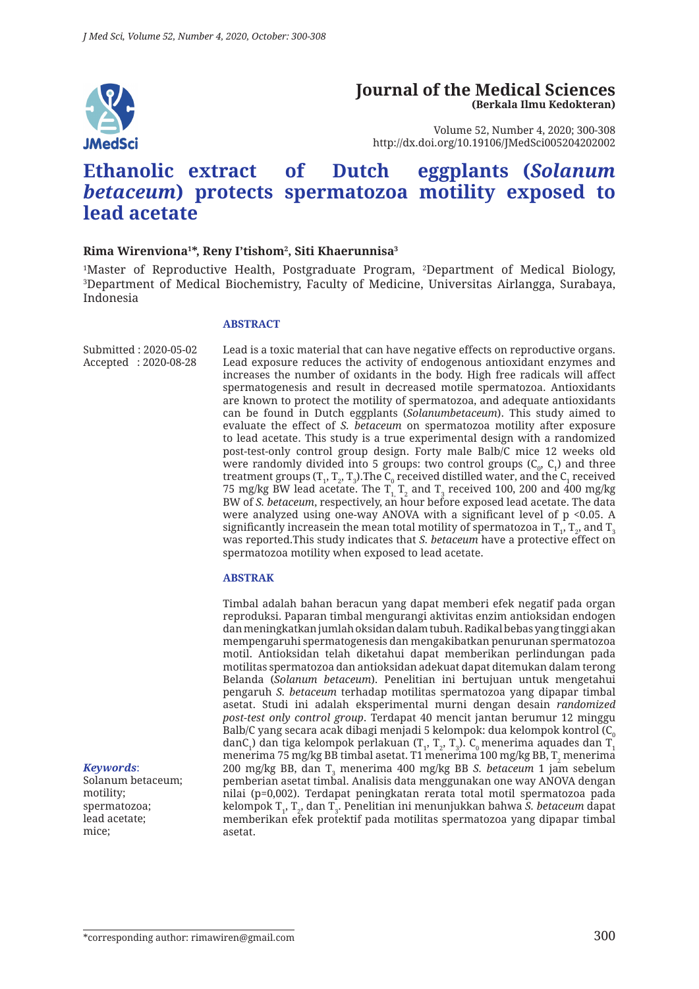

#### **Journal of the Medical Sciences (Berkala Ilmu Kedokteran)**

Volume 52, Number 4, 2020; 300-308 http://dx.doi.org/10.19106/JMedSci005204202002

# **Ethanolic extract of Dutch eggplants (***Solanum betaceum***) protects spermatozoa motility exposed to lead acetate**

#### **Rima Wirenviona1 \*, Reny I'tishom2 , Siti Khaerunnisa3**

<sup>1</sup>Master of Reproductive Health, Postgraduate Program, <sup>2</sup>Department of Medical Biology,<br><sup>3</sup>Department of Medical Biochemistry Faculty of Medicine Universitas Airlangga Surabaya Department of Medical Biochemistry, Faculty of Medicine, Universitas Airlangga, Surabaya, Indonesia

#### **ABSTRACT**

Submitted : 2020-05-02 Accepted : 2020-08-28 Lead is a toxic material that can have negative effects on reproductive organs. Lead exposure reduces the activity of endogenous antioxidant enzymes and increases the number of oxidants in the body. High free radicals will affect spermatogenesis and result in decreased motile spermatozoa. Antioxidants are known to protect the motility of spermatozoa, and adequate antioxidants can be found in Dutch eggplants (*Solanumbetaceum*). This study aimed to evaluate the effect of *S. betaceum* on spermatozoa motility after exposure to lead acetate. This study is a true experimental design with a randomized post-test-only control group design. Forty male Balb/C mice 12 weeks old were randomly divided into 5 groups: two control groups (C $_{0}$ , C<sub>1</sub>) and three treatment groups (T<sub>1</sub>, T<sub>2</sub>, T<sub>3</sub>).The C<sub>0</sub> received distilled water, and the C<sub>1</sub> received 75 mg/kg BW lead acetate. The  $\text{T}_{\text{1},\text{T}_{\text{2}}}$  and  $\text{T}_{\text{3}}$  received 100, 200 and 400 mg/kg BW of *S. betaceum*, respectively, an hour before exposed lead acetate. The data were analyzed using one-way ANOVA with a significant level of  $p$  <0.05. A significantly increasein the mean total motility of spermatozoa in  $\texttt T_{_{1}}, \texttt T_{_{2}},$  and  $\texttt T_{_{3}}$ was reported.This study indicates that *S. betaceum* have a protective effect on spermatozoa motility when exposed to lead acetate.

#### **ABSTRAK**

Timbal adalah bahan beracun yang dapat memberi efek negatif pada organ reproduksi. Paparan timbal mengurangi aktivitas enzim antioksidan endogen dan meningkatkan jumlah oksidan dalam tubuh. Radikal bebas yang tinggi akan mempengaruhi spermatogenesis dan mengakibatkan penurunan spermatozoa motil. Antioksidan telah diketahui dapat memberikan perlindungan pada motilitas spermatozoa dan antioksidan adekuat dapat ditemukan dalam terong Belanda (*Solanum betaceum*). Penelitian ini bertujuan untuk mengetahui pengaruh *S. betaceum* terhadap motilitas spermatozoa yang dipapar timbal asetat. Studi ini adalah eksperimental murni dengan desain *randomized post-test only control group*. Terdapat 40 mencit jantan berumur 12 minggu Balb/C yang secara acak dibagi menjadi 5 kelompok: dua kelompok kontrol ( $C_0$ dan $\mathsf{C}_1$ ) dan tiga kelompok perlakuan (T $_1$ , T $_2$ , T $_3$ ).  $\mathsf{C}_0$  menerima aquades dan T $_1$ menerima 75 mg/kg BB timbal asetat. T1 menerima 100 mg/kg BB,  $\rm T^{}_2$  menerima 200 mg/kg BB, dan T<sub>3</sub> menerima 400 mg/kg BB *S. betaceum* 1 jam sebelum pemberian asetat timbal. Analisis data menggunakan one way ANOVA dengan nilai (p=0,002). Terdapat peningkatan rerata total motil spermatozoa pada kelompok T<sub>1</sub>, T<sub>2</sub>, dan T<sub>3</sub>. Penelitian ini menunjukkan bahwa *S. betaceum* dapat memberikan efek protektif pada motilitas spermatozoa yang dipapar timbal asetat.

#### *Keywords*:

Solanum betaceum; motility; spermatozoa; lead acetate; mice;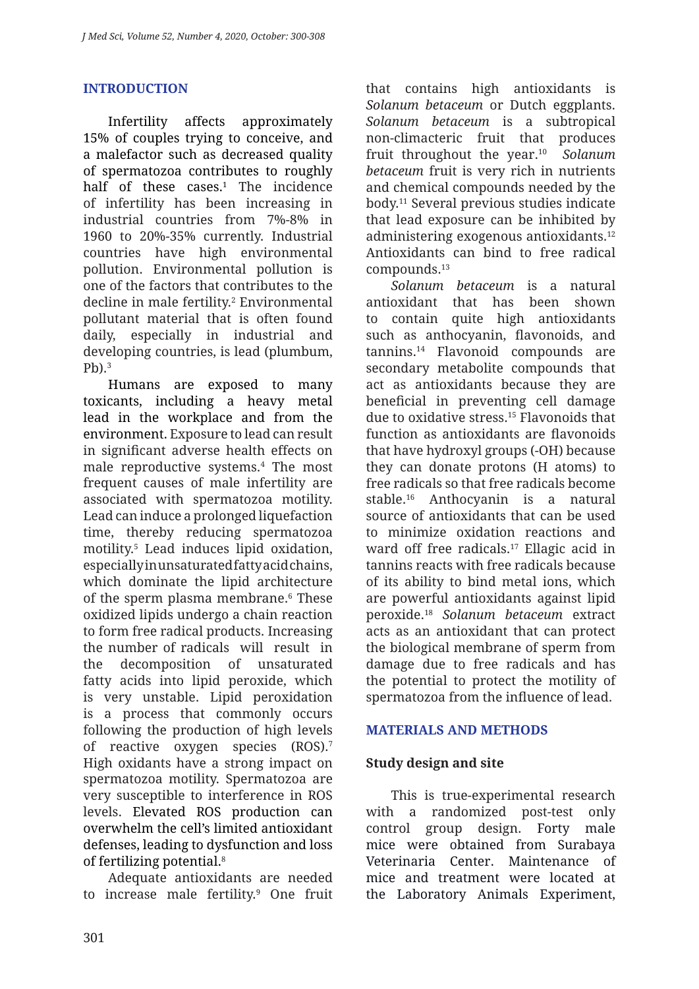# **INTRODUCTION**

Infertility affects approximately 15% of couples trying to conceive, and a malefactor such as decreased quality of spermatozoa contributes to roughly half of these cases. $1$  The incidence of infertility has been increasing in industrial countries from 7%-8% in 1960 to 20%-35% currently. Industrial countries have high environmental pollution. Environmental pollution is one of the factors that contributes to the decline in male fertility.<sup>2</sup> Environmental pollutant material that is often found daily, especially in industrial and developing countries, is lead (plumbum,  $Ph$ )<sup>3</sup>

Humans are exposed to many toxicants, including a heavy metal lead in the workplace and from the environment. Exposure to lead can result in significant adverse health effects on male reproductive systems.4 The most frequent causes of male infertility are associated with spermatozoa motility. Lead can induce a prolonged liquefaction time, thereby reducing spermatozoa motility.5 Lead induces lipid oxidation, especially in unsaturated fatty acid chains, which dominate the lipid architecture of the sperm plasma membrane.6 These oxidized lipids undergo a chain reaction to form free radical products. Increasing the number of radicals will result in the decomposition of unsaturated fatty acids into lipid peroxide, which is very unstable. Lipid peroxidation is a process that commonly occurs following the production of high levels of reactive oxygen species (ROS).7 High oxidants have a strong impact on spermatozoa motility. Spermatozoa are very susceptible to interference in ROS levels. Elevated ROS production can overwhelm the cell's limited antioxidant defenses, leading to dysfunction and loss of fertilizing potential.8

Adequate antioxidants are needed to increase male fertility.9 One fruit that contains high antioxidants is *Solanum betaceum* or Dutch eggplants. *Solanum betaceum* is a subtropical non-climacteric fruit that produces fruit throughout the year.10 *Solanum betaceum* fruit is very rich in nutrients and chemical compounds needed by the body.11 Several previous studies indicate that lead exposure can be inhibited by administering exogenous antioxidants.12 Antioxidants can bind to free radical compounds.13

*Solanum betaceum* is a natural antioxidant that has been shown to contain quite high antioxidants such as anthocyanin, flavonoids, and tannins.14 Flavonoid compounds are secondary metabolite compounds that act as antioxidants because they are beneficial in preventing cell damage due to oxidative stress.15 Flavonoids that function as antioxidants are flavonoids that have hydroxyl groups (-OH) because they can donate protons (H atoms) to free radicals so that free radicals become stable.16 Anthocyanin is a natural source of antioxidants that can be used to minimize oxidation reactions and ward off free radicals.17 Ellagic acid in tannins reacts with free radicals because of its ability to bind metal ions, which are powerful antioxidants against lipid peroxide.18 *Solanum betaceum* extract acts as an antioxidant that can protect the biological membrane of sperm from damage due to free radicals and has the potential to protect the motility of spermatozoa from the influence of lead.

### **MATERIALS AND METHODS**

### **Study design and site**

This is true-experimental research with a randomized post-test only control group design. Forty male mice were obtained from Surabaya Veterinaria Center. Maintenance of mice and treatment were located at the Laboratory Animals Experiment,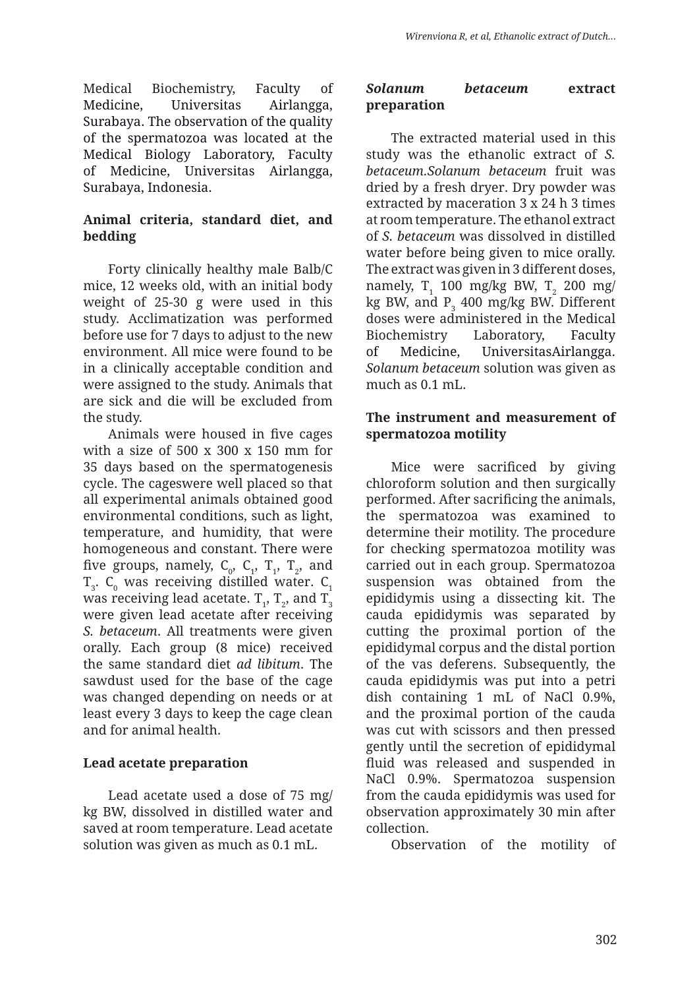Medical Biochemistry, Faculty of Medicine, Universitas Airlangga, Surabaya. The observation of the quality of the spermatozoa was located at the Medical Biology Laboratory, Faculty of Medicine, Universitas Airlangga, Surabaya, Indonesia.

# **Animal criteria, standard diet, and bedding**

Forty clinically healthy male Balb/C mice, 12 weeks old, with an initial body weight of 25-30 g were used in this study. Acclimatization was performed before use for 7 days to adjust to the new environment. All mice were found to be in a clinically acceptable condition and were assigned to the study. Animals that are sick and die will be excluded from the study.

Animals were housed in five cages with a size of 500 x 300 x 150 mm for 35 days based on the spermatogenesis cycle. The cageswere well placed so that all experimental animals obtained good environmental conditions, such as light, temperature, and humidity, that were homogeneous and constant. There were five groups, namely,  $C_0$ ,  $C_1$ ,  $T_1$ ,  $T_2$ , and  ${\tt T}_{\sf 3}$ .  ${\tt C}_{\sf 0}$  was receiving distilled water.  ${\tt C}_{\sf 1}$ was receiving lead acetate.  $\texttt{T}_{\textup{1}}, \, \texttt{T}_{\textup{2}},$  and  $\texttt{T}_{\textup{3}}$ were given lead acetate after receiving *S. betaceum*. All treatments were given orally. Each group (8 mice) received the same standard diet *ad libitum*. The sawdust used for the base of the cage was changed depending on needs or at least every 3 days to keep the cage clean and for animal health.

### **Lead acetate preparation**

Lead acetate used a dose of 75 mg/ kg BW, dissolved in distilled water and saved at room temperature. Lead acetate solution was given as much as 0.1 mL.

### *Solanum betaceum* **extract preparation**

The extracted material used in this study was the ethanolic extract of *S. betaceum.Solanum betaceum* fruit was dried by a fresh dryer. Dry powder was extracted by maceration 3 x 24 h 3 times at room temperature. The ethanol extract of *S. betaceum* was dissolved in distilled water before being given to mice orally. The extract was given in 3 different doses, namely,  $T_1$  100 mg/kg BW,  $T_2$  200 mg/ kg BW, and  $P_3$  400 mg/kg BW. Different doses were administered in the Medical Biochemistry Laboratory, Faculty of Medicine, UniversitasAirlangga. *Solanum betaceum* solution was given as much as 0.1 mL.

### **The instrument and measurement of spermatozoa motility**

Mice were sacrificed by giving chloroform solution and then surgically performed. After sacrificing the animals, the spermatozoa was examined to determine their motility. The procedure for checking spermatozoa motility was carried out in each group. Spermatozoa suspension was obtained from the epididymis using a dissecting kit. The cauda epididymis was separated by cutting the proximal portion of the epididymal corpus and the distal portion of the vas deferens. Subsequently, the cauda epididymis was put into a petri dish containing 1 mL of NaCl 0.9%, and the proximal portion of the cauda was cut with scissors and then pressed gently until the secretion of epididymal fluid was released and suspended in NaCl 0.9%. Spermatozoa suspension from the cauda epididymis was used for observation approximately 30 min after collection.

Observation of the motility of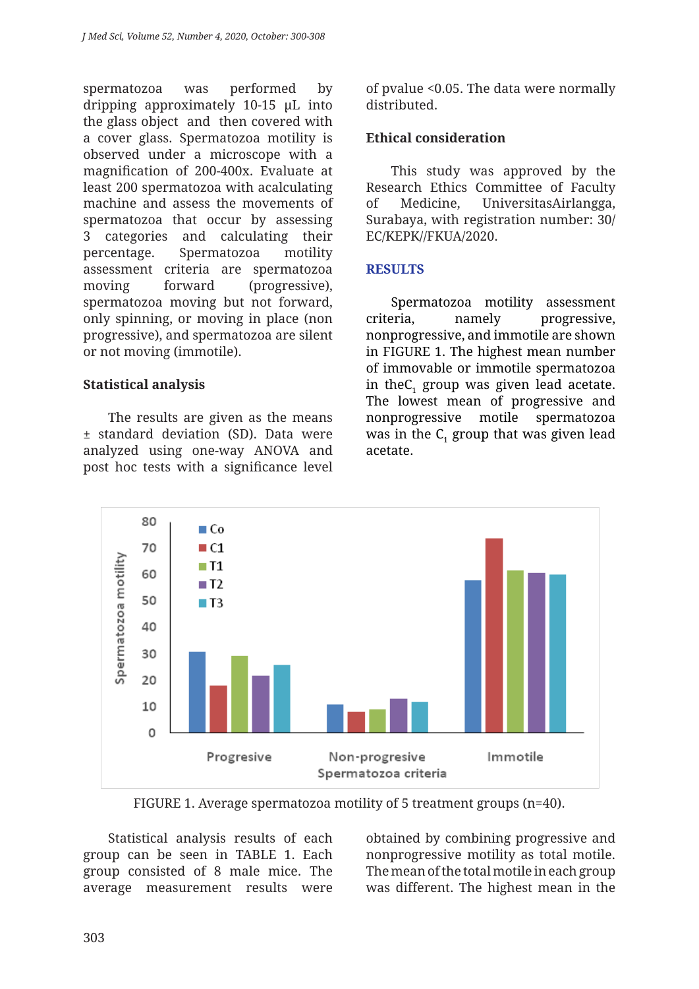spermatozoa was performed by dripping approximately 10-15 µL into the glass object and then covered with a cover glass. Spermatozoa motility is observed under a microscope with a magnification of 200-400x. Evaluate at least 200 spermatozoa with acalculating machine and assess the movements of spermatozoa that occur by assessing 3 categories and calculating their percentage. Spermatozoa motility assessment criteria are spermatozoa moving forward (progressive), spermatozoa moving but not forward, only spinning, or moving in place (non progressive), and spermatozoa are silent or not moving (immotile).

### **Statistical analysis**

The results are given as the means ± standard deviation (SD). Data were analyzed using one-way ANOVA and post hoc tests with a significance level of pvalue <0.05. The data were normally distributed.

# **Ethical consideration**

This study was approved by the Research Ethics Committee of Faculty of Medicine, UniversitasAirlangga, Surabaya, with registration number: 30/ EC/KEPK//FKUA/2020.

# **RESULTS**

Spermatozoa motility assessment criteria, namely progressive, nonprogressive, and immotile are shown in FIGURE 1. The highest mean number of immovable or immotile spermatozoa in the $C_1$  group was given lead acetate. The lowest mean of progressive and nonprogressive motile spermatozoa was in the  $\textsf{C}_\textsf{i}$  group that was given lead acetate.



FIGURE 1. Average spermatozoa motility of 5 treatment groups (n=40).

Statistical analysis results of each group can be seen in TABLE 1. Each group consisted of 8 male mice. The average measurement results were obtained by combining progressive and nonprogressive motility as total motile. The mean of the total motile in each group was different. The highest mean in the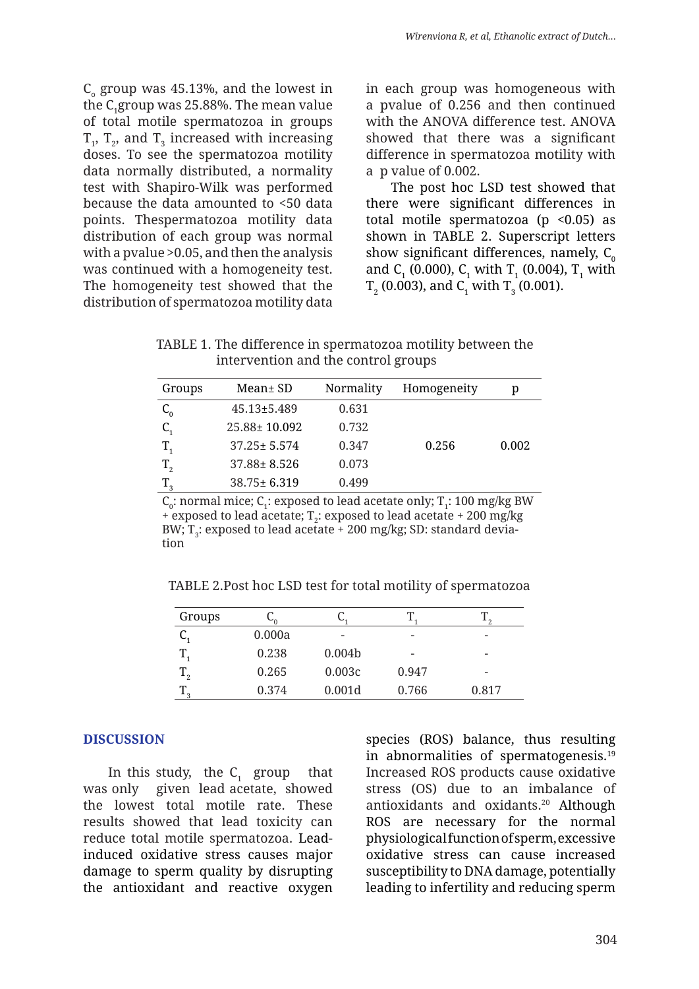$C<sub>o</sub>$  group was 45.13%, and the lowest in the  $\rm C_1$ group was 25.88%. The mean value of total motile spermatozoa in groups  $T_1$ ,  $T_2$ , and  $T_3$  increased with increasing doses. To see the spermatozoa motility data normally distributed, a normality test with Shapiro-Wilk was performed because the data amounted to <50 data points. Thespermatozoa motility data distribution of each group was normal with a pvalue >0.05, and then the analysis was continued with a homogeneity test. The homogeneity test showed that the distribution of spermatozoa motility data

in each group was homogeneous with a pvalue of 0.256 and then continued with the ANOVA difference test. ANOVA showed that there was a significant difference in spermatozoa motility with a p value of 0.002.

The post hoc LSD test showed that there were significant differences in total motile spermatozoa (p  $\leq 0.05$ ) as shown in TABLE 2. Superscript letters show significant differences, namely,  $C_0$ and  $C_1$  (0.000),  $C_1$  with  $T_1$  (0.004),  $T_1$  with  ${\tt T}_2$  (0.003), and  ${\tt C}_1$  with  ${\tt T}_3$  (0.001).

TABLE 1. The difference in spermatozoa motility between the intervention and the control groups

| Groups  | Mean± SD           | Normality | Homogeneity | р     |
|---------|--------------------|-----------|-------------|-------|
| $C_{0}$ | $45.13 \pm 5.489$  | 0.631     |             |       |
|         | $25.88 \pm 10.092$ | 0.732     |             |       |
| $T_{1}$ | $37.25 \pm 5.574$  | 0.347     | 0.256       | 0.002 |
| $T_{2}$ | $37.88 \pm 8.526$  | 0.073     |             |       |
|         | 38.75±6.319        | 0.499     |             |       |

 $C_0$ : normal mice;  $C_1$ : exposed to lead acetate only; T<sub>1</sub>: 100 mg/kg BW + exposed to lead acetate;  $T_2$ : exposed to lead acetate + 200 mg/kg BW;  $\text{T}_3$ : exposed to lead acetate + 200 mg/kg; SD: standard deviation

TABLE 2.Post hoc LSD test for total motility of spermatozoa

| Groups         |        |                    |                          |                          |
|----------------|--------|--------------------|--------------------------|--------------------------|
|                | 0.000a |                    | $\overline{\phantom{0}}$ | $\overline{\phantom{0}}$ |
|                | 0.238  | 0.004 <sub>b</sub> |                          |                          |
| $\rm T^{}_{2}$ | 0.265  | 0.003c             | 0.947                    | $\qquad \qquad$          |
| ⊥ ∩            | 0.374  | 0.001d             | 0.766                    | 0.817                    |

### **DISCUSSION**

In this study, the  $C_1$  group that was only given lead acetate, showed the lowest total motile rate. These results showed that lead toxicity can reduce total motile spermatozoa. Leadinduced oxidative stress causes major damage to sperm quality by disrupting the antioxidant and reactive oxygen

species (ROS) balance, thus resulting in abnormalities of spermatogenesis.<sup>19</sup> Increased ROS products cause oxidative stress (OS) due to an imbalance of antioxidants and oxidants.20 Although ROS are necessary for the normal physiological function of sperm, excessive oxidative stress can cause increased susceptibility to DNA damage, potentially leading to infertility and reducing sperm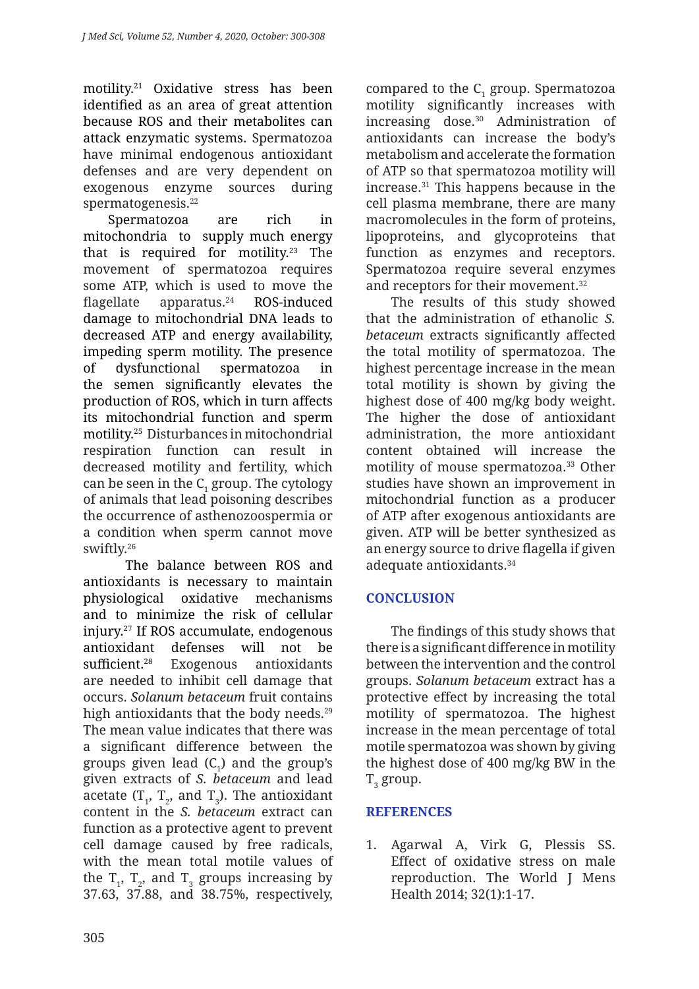motility.21 Oxidative stress has been identified as an area of great attention because ROS and their metabolites can attack enzymatic systems. Spermatozoa have minimal endogenous antioxidant defenses and are very dependent on exogenous enzyme sources during spermatogenesis.<sup>22</sup>

Spermatozoa are rich in mitochondria to supply much energy that is required for motility.<sup>23</sup> The movement of spermatozoa requires some ATP, which is used to move the flagellate apparatus. $24$  ROS-induced damage to mitochondrial DNA leads to decreased ATP and energy availability, impeding sperm motility. The presence of dysfunctional spermatozoa in the semen significantly elevates the production of ROS, which in turn affects its mitochondrial function and sperm motility.25 Disturbances in mitochondrial respiration function can result in decreased motility and fertility, which can be seen in the  $C<sub>1</sub>$  group. The cytology of animals that lead poisoning describes the occurrence of asthenozoospermia or a condition when sperm cannot move swiftly.26

The balance between ROS and antioxidants is necessary to maintain physiological oxidative mechanisms and to minimize the risk of cellular injury.27 If ROS accumulate, endogenous antioxidant defenses will not be sufficient.<sup>28</sup> Exogenous antioxidants are needed to inhibit cell damage that occurs. *Solanum betaceum* fruit contains high antioxidants that the body needs.<sup>29</sup> The mean value indicates that there was a significant difference between the groups given lead  $(C<sub>1</sub>)$  and the group's given extracts of *S. betaceum* and lead acetate  $(T_1, T_2, \text{ and } T_3)$ . The antioxidant content in the *S. betaceum* extract can function as a protective agent to prevent cell damage caused by free radicals, with the mean total motile values of the  $T_1$ ,  $T_2$ , and  $T_3$  groups increasing by 37.63, 37.88, and 38.75%, respectively,

compared to the  $C_1$  group. Spermatozoa motility significantly increases with increasing dose.30 Administration of antioxidants can increase the body's metabolism and accelerate the formation of ATP so that spermatozoa motility will increase.31 This happens because in the cell plasma membrane, there are many macromolecules in the form of proteins, lipoproteins, and glycoproteins that function as enzymes and receptors. Spermatozoa require several enzymes and receptors for their movement.<sup>32</sup>

The results of this study showed that the administration of ethanolic *S. betaceum* extracts significantly affected the total motility of spermatozoa. The highest percentage increase in the mean total motility is shown by giving the highest dose of 400 mg/kg body weight. The higher the dose of antioxidant administration, the more antioxidant content obtained will increase the motility of mouse spermatozoa.<sup>33</sup> Other studies have shown an improvement in mitochondrial function as a producer of ATP after exogenous antioxidants are given. ATP will be better synthesized as an energy source to drive flagella if given adequate antioxidants.34

# **CONCLUSION**

The findings of this study shows that there is a significant difference in motility between the intervention and the control groups. *Solanum betaceum* extract has a protective effect by increasing the total motility of spermatozoa. The highest increase in the mean percentage of total motile spermatozoa was shown by giving the highest dose of 400 mg/kg BW in the  $\mathrm{T}_3$  group.

# **REFERENCES**

1. Agarwal A, Virk G, Plessis SS. Effect of oxidative stress on male reproduction. The World J Mens Health 2014; 32(1):1-17.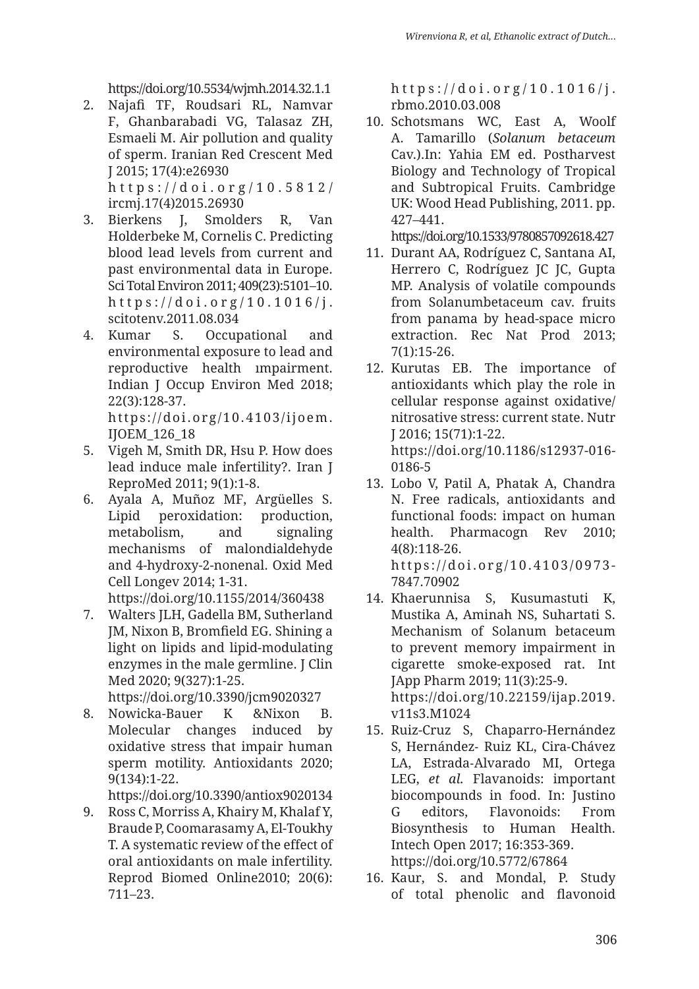https://doi.org/10.5534/wjmh.2014.32.1.1

2. Najafi TF, Roudsari RL, Namvar F, Ghanbarabadi VG, Talasaz ZH, Esmaeli M. Air pollution and quality of sperm. Iranian Red Crescent Med J 2015; 17(4):e26930 https://doi.org/ 10.5812/

ircmj.17(4)2015.26930

- 3. Bierkens J, Smolders R, Van Holderbeke M, Cornelis C. Predicting blood lead levels from current and past environmental data in Europe. Sci Total Environ 2011; 409(23):5101–10. https://doi.org/10.1016/j. scitotenv.2011.08.034
- 4. Kumar S. Occupational and environmental exposure to lead and reproductive health ımpairment. Indian J Occup Environ Med 2018; 22(3):128-37. https://doi.org/10.4103/ijoem.

IJOEM\_126\_18

- 5. Vigeh M, Smith DR, Hsu P. How does lead induce male infertility?. Iran J ReproMed 2011; 9(1):1-8.
- 6. Ayala A, Muñoz MF, Argüelles S. Lipid peroxidation: production, metabolism, and signaling mechanisms of malondialdehyde and 4-hydroxy-2-nonenal. Oxid Med Cell Longev 2014; 1-31. https://doi.org/10.1155/2014/360438
- 7. Walters JLH, Gadella BM, Sutherland JM, Nixon B, Bromfield EG. Shining a light on lipids and lipid-modulating enzymes in the male germline. J Clin Med 2020; 9(327):1-25. https://doi.org/10.3390/jcm9020327
- 8. Nowicka-Bauer K &Nixon B. Molecular changes induced by oxidative stress that impair human sperm motility. Antioxidants 2020; 9(134):1-22.

https://doi.org/10.3390/antiox9020134

9. Ross C, Morriss A, Khairy M, Khalaf Y, Braude P, Coomarasamy A, El-Toukhy T. A systematic review of the effect of oral antioxidants on male infertility. Reprod Biomed Online2010; 20(6): 711–23.

https://doi.org/10.1016/j. rbmo.2010.03.008

10. Schotsmans WC, East A, Woolf A. Tamarillo (*Solanum betaceum*  Cav.).In: Yahia EM ed. Postharvest Biology and Technology of Tropical and Subtropical Fruits. Cambridge UK: Wood Head Publishing, 2011. pp. 427–441.

https://doi.org/10.1533/9780857092618.427

- 11. Durant AA, Rodríguez C, Santana AI, Herrero C, Rodríguez JC JC, Gupta MP. Analysis of volatile compounds from Solanumbetaceum cav. fruits from panama by head-space micro extraction. Rec Nat Prod 2013; 7(1):15-26.
- 12. Kurutas EB. The importance of antioxidants which play the role in cellular response against oxidative/ nitrosative stress: current state. Nutr J 2016; 15(71):1-22. https://doi.org/10.1186/s12937-016- 0186-5
- 13. Lobo V, Patil A, Phatak A, Chandra N. Free radicals, antioxidants and functional foods: impact on human health. Pharmacogn Rev 2010; 4(8):118-26. https://doi.org/10.4103/0973-7847.70902
- 14. Khaerunnisa S, Kusumastuti K, Mustika A, Aminah NS, Suhartati S. Mechanism of Solanum betaceum to prevent memory impairment in cigarette smoke-exposed rat. Int JApp Pharm 2019; 11(3):25-9. https://doi.org/10.22159/ijap.2019. v11s3.M1024
- 15. Ruiz-Cruz S, Chaparro-Hernández S, Hernández‐ Ruiz KL, Cira‐Chávez LA, Estrada‐Alvarado MI, Ortega LEG, *et al.* Flavanoids: important biocompounds in food. In: Justino G editors, Flavonoids: From Biosynthesis to Human Health. Intech Open 2017; 16:353-369. https://doi.org/10.5772/67864
- 16. Kaur, S. and Mondal, P. Study of total phenolic and flavonoid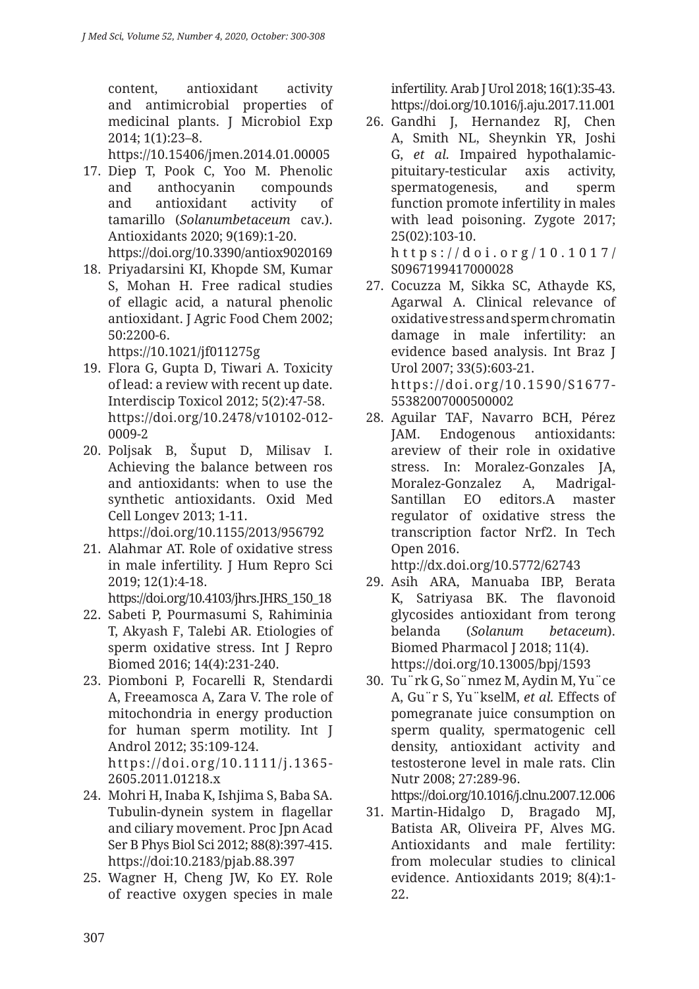content, antioxidant activity and antimicrobial properties of medicinal plants. J Microbiol Exp 2014; 1(1):23–8.

https://10.15406/jmen.2014.01.00005

17. Diep T, Pook C, Yoo M. Phenolic and anthocyanin compounds and antioxidant activity of tamarillo (*Solanumbetaceum* cav.). Antioxidants 2020; 9(169):1-20.

https://doi.org/10.3390/antiox9020169

18. Priyadarsini KI, Khopde SM, Kumar S, Mohan H. Free radical studies of ellagic acid, a natural phenolic antioxidant. J Agric Food Chem 2002; 50:2200-6.

https://10.1021/jf011275g

- 19. Flora G, Gupta D, Tiwari A. Toxicity of lead: a review with recent up date. Interdiscip Toxicol 2012; 5(2):47-58. https://doi.org/10.2478/v10102-012- 0009-2
- 20. Poljsak B, Šuput D, Milisav I. Achieving the balance between ros and antioxidants: when to use the synthetic antioxidants. Oxid Med Cell Longev 2013; 1-11. https://doi.org/10.1155/2013/956792
- 21. Alahmar AT. Role of oxidative stress in male infertility. J Hum Repro Sci 2019; 12(1):4-18.

https://doi.org/10.4103/jhrs.JHRS\_150\_18

- 22. Sabeti P, Pourmasumi S, Rahiminia T, Akyash F, Talebi AR. Etiologies of sperm oxidative stress. Int J Repro Biomed 2016; 14(4):231-240.
- 23. Piomboni P, Focarelli R, Stendardi A, Freeamosca A, Zara V. The role of mitochondria in energy production for human sperm motility. Int J Androl 2012; 35:109-124. https://doi.org/10.1111/j.1365- 2605.2011.01218.x
- 24. Mohri H, Inaba K, Ishjima S, Baba SA. Tubulin-dynein system in flagellar and ciliary movement. Proc Jpn Acad Ser B Phys Biol Sci 2012; 88(8):397-415. https://doi:10.2183/pjab.88.397
- 25. Wagner H, Cheng JW, Ko EY. Role of reactive oxygen species in male

infertility. Arab J Urol 2018; 16(1):35-43. https://doi.org/10.1016/j.aju.2017.11.001

- 26. Gandhi J, Hernandez RJ, Chen A, Smith NL, Sheynkin YR, Joshi G, *et al.* Impaired hypothalamicpituitary-testicular axis activity, spermatogenesis, and sperm function promote infertility in males with lead poisoning. Zygote 2017; 25(02):103-10. https://doi.org/10.1017/
- S0967199417000028 27. Cocuzza M, Sikka SC, Athayde KS, Agarwal A. Clinical relevance of oxidative stress and sperm chromatin damage in male infertility: an evidence based analysis. Int Braz J Urol 2007; 33(5):603-21. https://doi.org/10.1590/S1677- 55382007000500002
- 28. Aguilar TAF, Navarro BCH, Pérez JAM. Endogenous antioxidants: areview of their role in oxidative stress. In: Moralez-Gonzales JA, Moralez-Gonzalez A, Madrigal-Santillan EO editors.A master regulator of oxidative stress the transcription factor Nrf2. In Tech Open 2016.

http://dx.doi.org/10.5772/62743

- 29. Asih ARA, Manuaba IBP, Berata K, Satriyasa BK. The flavonoid glycosides antioxidant from terong belanda (*Solanum betaceum*). Biomed Pharmacol J 2018; 11(4). https://doi.org/10.13005/bpj/1593
- 30. Tu¨rk G, So¨nmez M, Aydin M, Yu¨ce A, Gu¨r S, Yu¨kselM, *et al.* Effects of pomegranate juice consumption on sperm quality, spermatogenic cell density, antioxidant activity and testosterone level in male rats. Clin Nutr 2008; 27:289-96.

https://doi.org/10.1016/j.clnu.2007.12.006

31. Martin-Hidalgo D, Bragado MJ, Batista AR, Oliveira PF, Alves MG. Antioxidants and male fertility: from molecular studies to clinical evidence. Antioxidants 2019; 8(4):1-  $22.5$